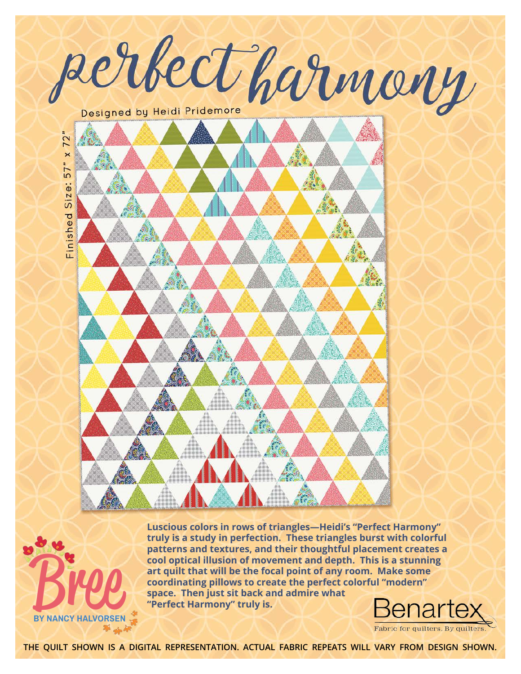



**Luscious colors in rows of triangles—Heidi's "Perfect Harmony" truly is a study in perfection. These triangles burst with colorful patterns and textures, and their thoughtful placement creates a cool optical illusion of movement and depth. This is a stunning art quilt that will be the focal point of any room. Make some coordinating pillows to create the perfect colorful "modern" space.** Then just sit back and admire what and depthenon and depthenon and depthenon and depthenon and depthenon coordinating pillows to create the perfect coordinating pillows to create the perfect coordinating pillows t

Fabric for quilters. By quilter

**the quilt shown is a digital representation. actual fabric repeats will vary from design shown.**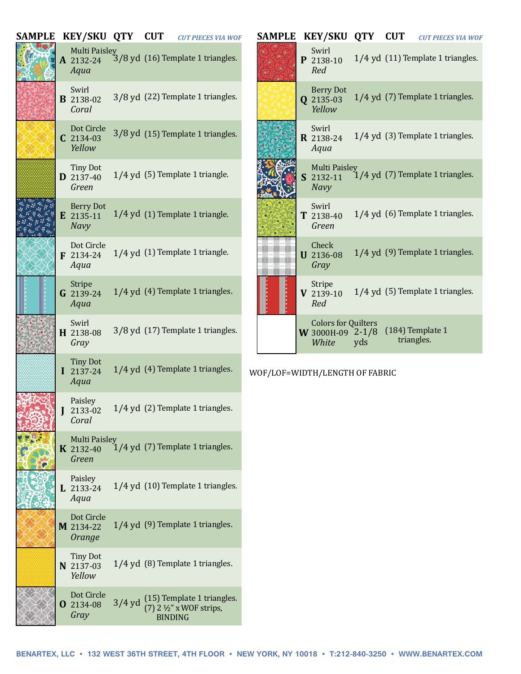| SAMPLE | <b>KEY/SKU QTY</b>                           |          | <b>CUT</b>     | <b>CUT PIECES VIA WOF</b>                                           | <b>SAMPLE</b> | <b>KEY/SKU QTY</b>                                      |     | <b>CUT</b> |                                    | <b>CUT PIECES VIA WOF</b> |
|--------|----------------------------------------------|----------|----------------|---------------------------------------------------------------------|---------------|---------------------------------------------------------|-----|------------|------------------------------------|---------------------------|
|        | <b>Multi Paisley</b><br>A 2132-24<br>Aqua    |          |                | 3/8 yd (16) Template 1 triangles.                                   |               | Swirl<br>P 2138-10<br>Red                               |     |            | 1/4 yd (11) Template 1 triangles.  |                           |
|        | Swirl<br><b>B</b> 2138-02<br>Coral           |          |                | 3/8 yd (22) Template 1 triangles.                                   |               | <b>Berry Dot</b><br>Q 2135-03<br>Yellow                 |     |            | 1/4 yd (7) Template 1 triangles.   |                           |
|        | Dot Circle<br>$C$ 2134-03<br>Yellow          |          |                | 3/8 yd (15) Template 1 triangles.                                   |               | Swirl<br><b>R</b> 2138-24<br>Aqua                       |     |            | 1/4 yd (3) Template 1 triangles.   |                           |
|        | <b>Tiny Dot</b><br><b>D</b> 2137-40<br>Green |          |                | 1/4 yd (5) Template 1 triangle.                                     |               | <b>Multi Paisley</b><br>S 2132-11<br><b>Navy</b>        |     |            | $1/4$ yd (7) Template 1 triangles. |                           |
|        | <b>Berry Dot</b><br>E 2135-11<br><b>Navy</b> |          |                | 1/4 yd (1) Template 1 triangle.                                     |               | Swirl<br>T 2138-40<br>Green                             |     |            | 1/4 yd (6) Template 1 triangles.   |                           |
|        | Dot Circle<br>F 2134-24<br>Aqua              |          |                | 1/4 yd (1) Template 1 triangle.                                     |               | Check<br><b>U</b> 2136-08<br>Gray                       |     |            | 1/4 yd (9) Template 1 triangles.   |                           |
|        | Stripe<br>G 2139-24<br>Aqua                  |          |                | 1/4 yd (4) Template 1 triangles.                                    |               | Stripe<br>$V$ 2139-10<br>Red                            |     |            | 1/4 yd (5) Template 1 triangles.   |                           |
|        | Swirl<br>H 2138-08<br>Gray                   |          |                | 3/8 yd (17) Template 1 triangles.                                   |               | <b>Colors for Quilters</b><br>W 3000H-09 2-1/8<br>White | yds |            | (184) Template 1<br>triangles.     |                           |
|        | <b>Tiny Dot</b><br>$I$ 2137-24<br>Aqua       |          |                | 1/4 yd (4) Template 1 triangles.                                    |               | WOF/LOF=WIDTH/LENGTH OF FABRIC                          |     |            |                                    |                           |
|        | Paisley<br>2133-02<br>Coral                  |          |                | 1/4 yd (2) Template 1 triangles.                                    |               |                                                         |     |            |                                    |                           |
|        | <b>Multi Paisley</b><br>K 2132-40<br>Green   |          |                | $1/4$ yd (7) Template 1 triangles.                                  |               |                                                         |     |            |                                    |                           |
|        | Paisley<br>$L$ 2133-24<br>Aqua               |          |                | 1/4 yd (10) Template 1 triangles.                                   |               |                                                         |     |            |                                    |                           |
|        | Dot Circle<br>M 2134-22<br>Orange            |          |                | 1/4 yd (9) Template 1 triangles.                                    |               |                                                         |     |            |                                    |                           |
|        | <b>Tiny Dot</b><br>N 2137-03<br>Yellow       |          |                | 1/4 yd (8) Template 1 triangles.                                    |               |                                                         |     |            |                                    |                           |
|        | Dot Circle<br><b>0</b> 2134-08<br>Gray       | $3/4$ yd | <b>BINDING</b> | (15) Template 1 triangles.<br>$(7)$ 2 $\frac{1}{2}$ " x WOF strips, |               |                                                         |     |            |                                    |                           |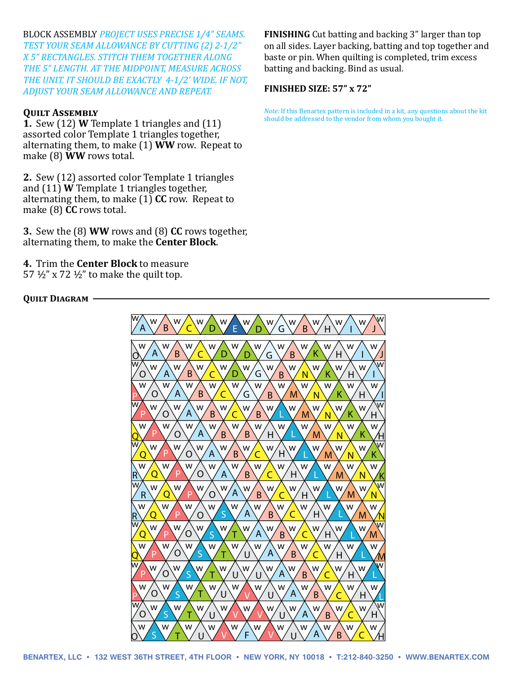BLOCK ASSEMBLY *PROJECT USES PRECISE 1/4" SEAMS.*  BLOCK ASSEMBLY *PROJECT USES PRECISE 1/4" SEAMS. TEST YOUR SEAM ALLOWANCE BY CUTTING (2) 2-1/2" TEST YOUR SEAM ALLOWANCE BY CUTTING (2) 2-1/2" X 5" RECTANGLES. STITCH THEM TOGETHER ALONG X 5" RECTANGLES. STITCH THEM TOGETHER ALONG THE 5" LENGTH. AT THE MIDPOINT, MEASURE ACROSS THE 5" LENGTH. AT THE MIDPOINT, MEASURE ACROSS THE UNIT. IT SHOULD BE EXACTLY 4-1/2' WIDE. IF NOT, THE UNIT. IT SHOULD BE EXACTLY 4-1/2' WIDE. IF NOT, ADJUST YOUR SEAM ALLOWANCE AND REPEAT. ADJUST YOUR SEAM ALLOWANCE AND REPEAT.*

## **Quilt Assembly Quilt Assembly**

**1.** Sew (12) **W** Template 1 triangles and (11) **1.** Sew (12) **W** Template 1 triangles and (11) assorted color Template 1 triangles together, assorted color Template 1 triangles together, alternating them, to make (1) **WW** row. Repeat to alternating them, to make (1) **WW** row. Repeat to make (8) **WW** rows total. make (8) **WW** rows total.

**2.** Sew (12) assorted color Template 1 triangles **2.** Sew (12) assorted color Template 1 triangles and (11) **W** Template 1 triangles together, and (11) **W** Template 1 triangles together, alternating them, to make (1) **CC** row. Repeat to alternating them, to make (1) **CC** row. Repeat to make (8) **CC** rows total. make (8) **CC** rows total.

**3.** Sew the (8) **WW** rows and (8) **CC** rows together, **3.** Sew the (8) **WW** rows and (8) **CC** rows together, alternating them, to make the **Center Block**. alternating them, to make the **Center Block**.

**4.** Trim the **Center Block** to measure **4.** Trim the **Center Block** to measure 57  $\frac{1}{2}$ " x 72  $\frac{1}{2}$ " to make the quilt top.

## **Quilt Diagram Quilt Diagram**

**FINISHING** Cut batting and backing 3" larger than top **FINISHING** Cut batting and backing 3" larger than top on all sides. Layer backing, batting and top together and baste or pin. When quilting is completed, trim excess baste or pin. When quilting is completed, trim excess batting and backing. Bind as usual. batting and backing. Bind as usual.

## **FINISHED SIZE: 57" x 72" FINISHED SIZE: 57" x 72"**

*Note:* If this Benartex pattern is included in a kit, any questions about the kit *Note:* If this Benartex pattern is included in a kit, any questions about the kit should be addressed to the vendor from whom you bought it. should be addressed to the vendor from whom you bought it.